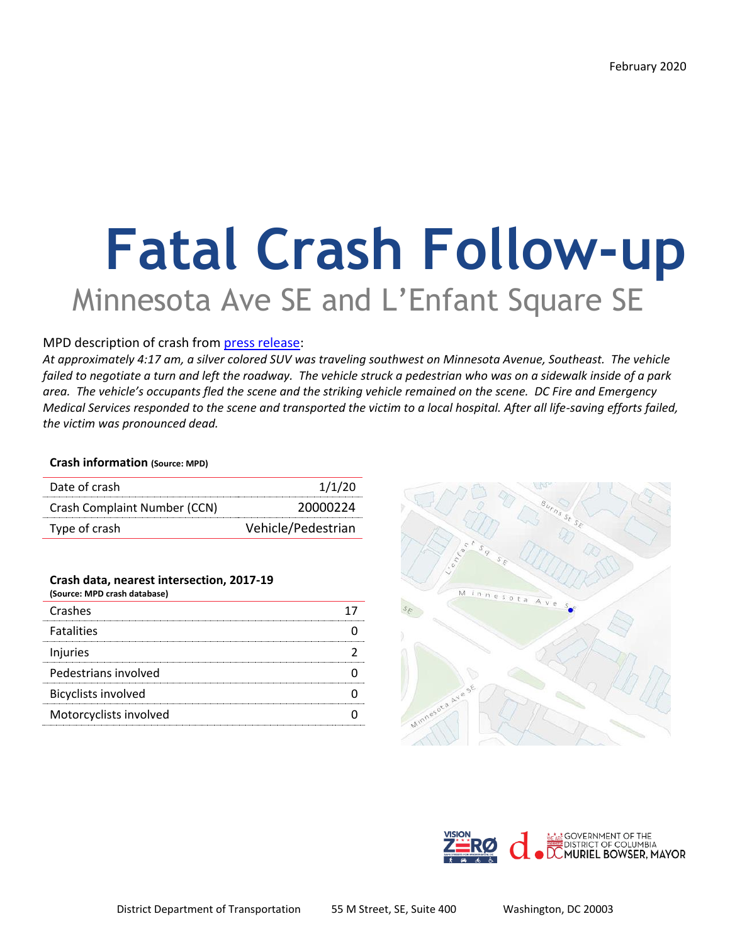# **Fatal Crash Follow-up** Minnesota Ave SE and L'Enfant Square SE

#### MPD description of crash from [press release:](https://mpdc.dc.gov/release/traffic-fatality-intersection-minnesota-avenue-and-l%E2%80%99enfant-square-southeast)

*At approximately 4:17 am, a silver colored SUV was traveling southwest on Minnesota Avenue, Southeast. The vehicle failed to negotiate a turn and left the roadway. The vehicle struck a pedestrian who was on a sidewalk inside of a park area. The vehicle's occupants fled the scene and the striking vehicle remained on the scene. DC Fire and Emergency Medical Services responded to the scene and transported the victim to a local hospital. After all life-saving efforts failed, the victim was pronounced dead.* 

#### **Crash information (Source: MPD)**

| Date of crash                | 1/1/20             |
|------------------------------|--------------------|
| Crash Complaint Number (CCN) | 20000224           |
| Type of crash                | Vehicle/Pedestrian |

#### **Crash data, nearest intersection, 2017-19**

| (Source: MPD crash database) |  |
|------------------------------|--|
| Crashes                      |  |
| <b>Fatalities</b>            |  |
| Injuries                     |  |
| Pedestrians involved         |  |
| <b>Bicyclists involved</b>   |  |
| Motorcyclists involved       |  |
|                              |  |